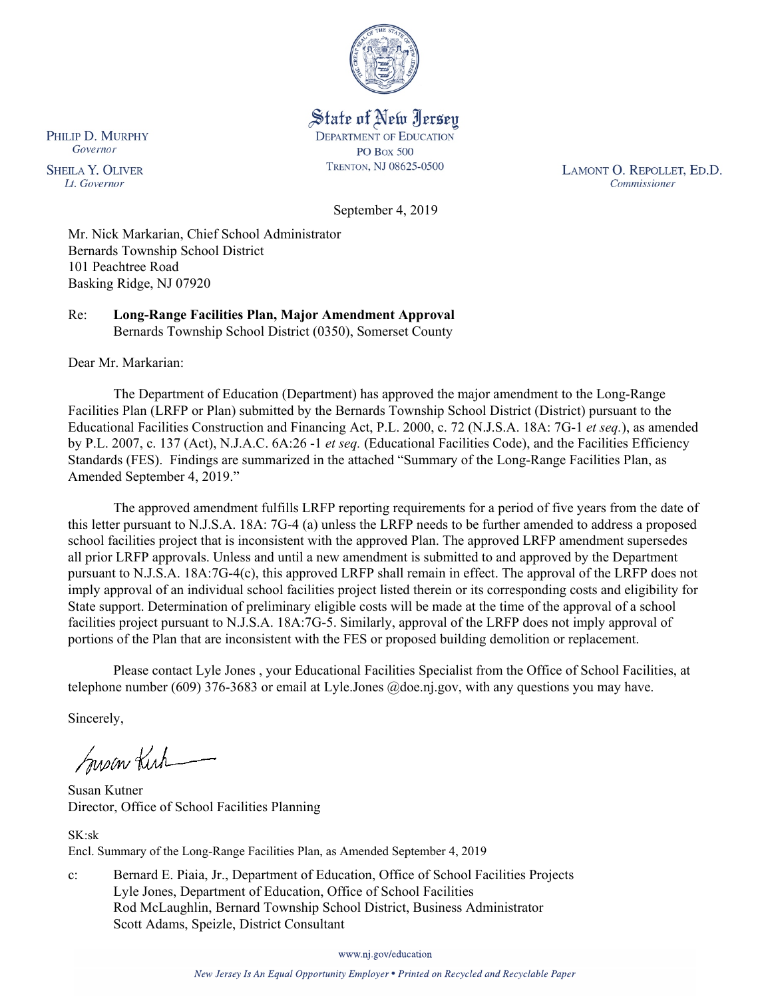

State of New Jersey **DEPARTMENT OF EDUCATION PO Box 500** TRENTON, NJ 08625-0500

LAMONT O. REPOLLET, ED.D. Commissioner

September 4, 2019

Mr. Nick Markarian, Chief School Administrator Bernards Township School District 101 Peachtree Road Basking Ridge, NJ 07920

Re: **Long-Range Facilities Plan, Major Amendment Approval** Bernards Township School District (0350), Somerset County

Dear Mr. Markarian:

The Department of Education (Department) has approved the major amendment to the Long-Range Facilities Plan (LRFP or Plan) submitted by the Bernards Township School District (District) pursuant to the Educational Facilities Construction and Financing Act, P.L. 2000, c. 72 (N.J.S.A. 18A: 7G-1 *et seq.*), as amended by P.L. 2007, c. 137 (Act), N.J.A.C. 6A:26 -1 *et seq.* (Educational Facilities Code), and the Facilities Efficiency Standards (FES). Findings are summarized in the attached "Summary of the Long-Range Facilities Plan, as Amended September 4, 2019."

The approved amendment fulfills LRFP reporting requirements for a period of five years from the date of this letter pursuant to N.J.S.A. 18A: 7G-4 (a) unless the LRFP needs to be further amended to address a proposed school facilities project that is inconsistent with the approved Plan. The approved LRFP amendment supersedes all prior LRFP approvals. Unless and until a new amendment is submitted to and approved by the Department pursuant to N.J.S.A. 18A:7G-4(c), this approved LRFP shall remain in effect. The approval of the LRFP does not imply approval of an individual school facilities project listed therein or its corresponding costs and eligibility for State support. Determination of preliminary eligible costs will be made at the time of the approval of a school facilities project pursuant to N.J.S.A. 18A:7G-5. Similarly, approval of the LRFP does not imply approval of portions of the Plan that are inconsistent with the FES or proposed building demolition or replacement.

Please contact Lyle Jones , your Educational Facilities Specialist from the Office of School Facilities, at telephone number (609) 376-3683 or email at Lyle.Jones @doe.nj.gov, with any questions you may have.

Sincerely,

Susan Kich

Susan Kutner Director, Office of School Facilities Planning

SK:sk Encl. Summary of the Long-Range Facilities Plan, as Amended September 4, 2019

c: Bernard E. Piaia, Jr., Department of Education, Office of School Facilities Projects Lyle Jones, Department of Education, Office of School Facilities Rod McLaughlin, Bernard Township School District, Business Administrator Scott Adams, Speizle, District Consultant

www.nj.gov/education

PHILIP D. MURPHY Governor

**SHEILA Y. OLIVER** Lt. Governor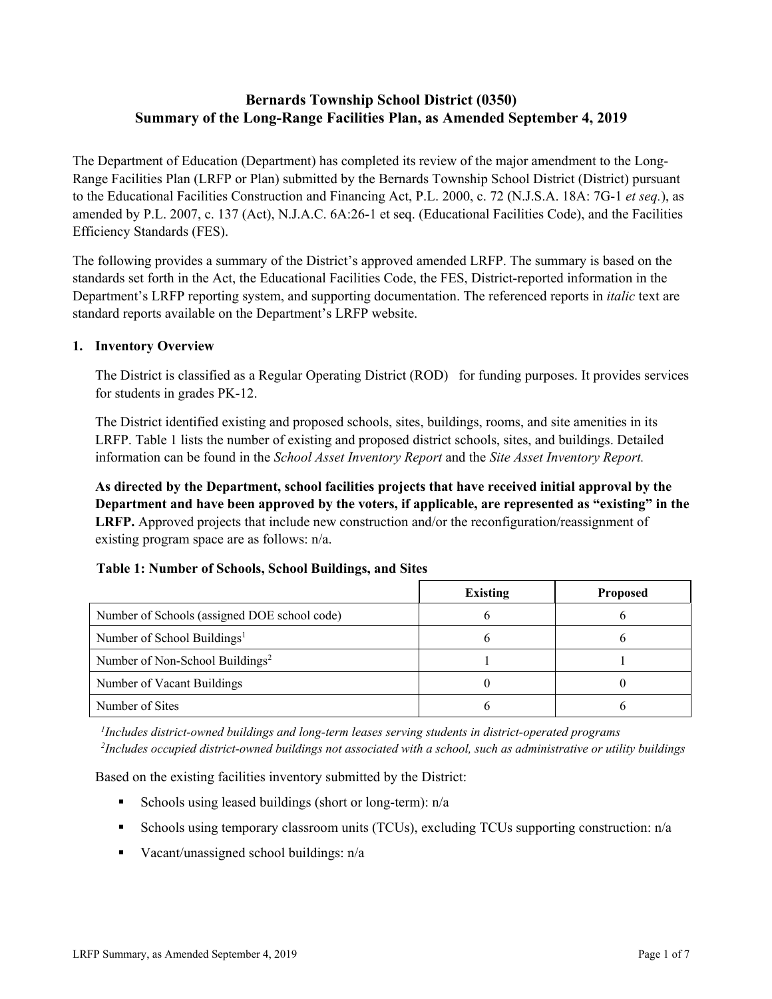# **Bernards Township School District (0350) Summary of the Long-Range Facilities Plan, as Amended September 4, 2019**

The Department of Education (Department) has completed its review of the major amendment to the Long-Range Facilities Plan (LRFP or Plan) submitted by the Bernards Township School District (District) pursuant to the Educational Facilities Construction and Financing Act, P.L. 2000, c. 72 (N.J.S.A. 18A: 7G-1 *et seq.*), as amended by P.L. 2007, c. 137 (Act), N.J.A.C. 6A:26-1 et seq. (Educational Facilities Code), and the Facilities Efficiency Standards (FES).

The following provides a summary of the District's approved amended LRFP. The summary is based on the standards set forth in the Act, the Educational Facilities Code, the FES, District-reported information in the Department's LRFP reporting system, and supporting documentation. The referenced reports in *italic* text are standard reports available on the Department's LRFP website.

#### **1. Inventory Overview**

The District is classified as a Regular Operating District (ROD) for funding purposes. It provides services for students in grades PK-12.

The District identified existing and proposed schools, sites, buildings, rooms, and site amenities in its LRFP. Table 1 lists the number of existing and proposed district schools, sites, and buildings. Detailed information can be found in the *School Asset Inventory Report* and the *Site Asset Inventory Report.*

**As directed by the Department, school facilities projects that have received initial approval by the Department and have been approved by the voters, if applicable, are represented as "existing" in the LRFP.** Approved projects that include new construction and/or the reconfiguration/reassignment of existing program space are as follows: n/a.

## **Table 1: Number of Schools, School Buildings, and Sites**

|                                              | <b>Existing</b> | <b>Proposed</b> |
|----------------------------------------------|-----------------|-----------------|
| Number of Schools (assigned DOE school code) |                 |                 |
| Number of School Buildings <sup>1</sup>      |                 |                 |
| Number of Non-School Buildings <sup>2</sup>  |                 |                 |
| Number of Vacant Buildings                   |                 |                 |
| Number of Sites                              |                 |                 |

*1 Includes district-owned buildings and long-term leases serving students in district-operated programs 2 Includes occupied district-owned buildings not associated with a school, such as administrative or utility buildings*

Based on the existing facilities inventory submitted by the District:

- Schools using leased buildings (short or long-term):  $n/a$
- Schools using temporary classroom units (TCUs), excluding TCUs supporting construction: n/a
- Vacant/unassigned school buildings:  $n/a$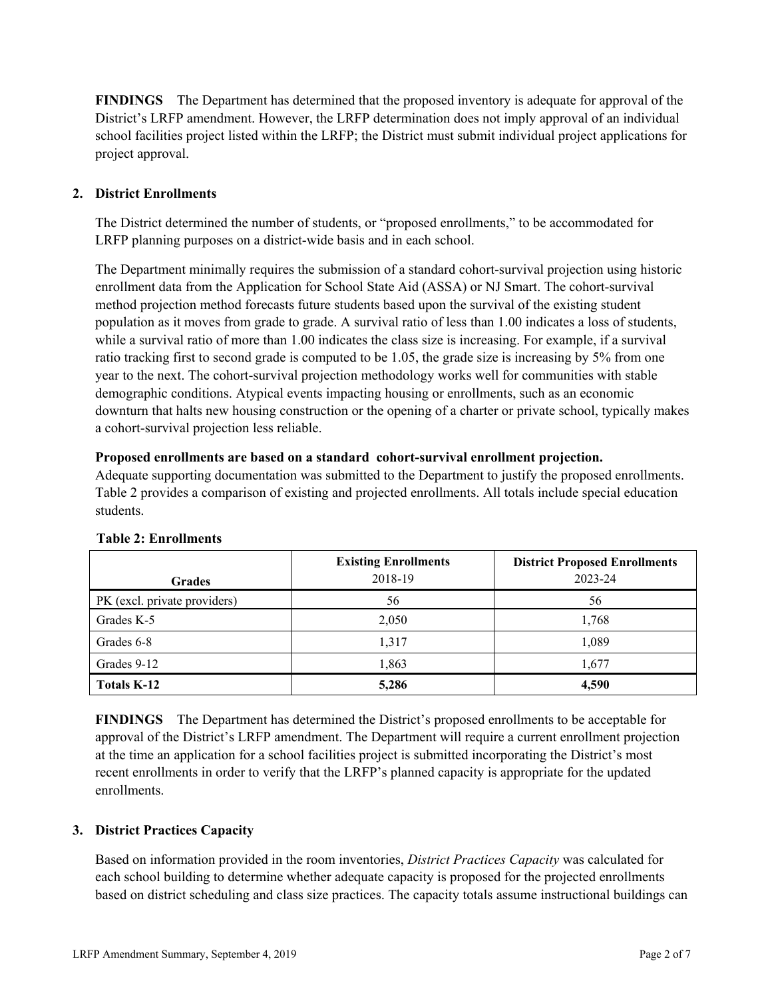**FINDINGS** The Department has determined that the proposed inventory is adequate for approval of the District's LRFP amendment. However, the LRFP determination does not imply approval of an individual school facilities project listed within the LRFP; the District must submit individual project applications for project approval.

## **2. District Enrollments**

The District determined the number of students, or "proposed enrollments," to be accommodated for LRFP planning purposes on a district-wide basis and in each school.

The Department minimally requires the submission of a standard cohort-survival projection using historic enrollment data from the Application for School State Aid (ASSA) or NJ Smart. The cohort-survival method projection method forecasts future students based upon the survival of the existing student population as it moves from grade to grade. A survival ratio of less than 1.00 indicates a loss of students, while a survival ratio of more than 1.00 indicates the class size is increasing. For example, if a survival ratio tracking first to second grade is computed to be 1.05, the grade size is increasing by 5% from one year to the next. The cohort-survival projection methodology works well for communities with stable demographic conditions. Atypical events impacting housing or enrollments, such as an economic downturn that halts new housing construction or the opening of a charter or private school, typically makes a cohort-survival projection less reliable.

#### **Proposed enrollments are based on a standard cohort-survival enrollment projection.**

Adequate supporting documentation was submitted to the Department to justify the proposed enrollments. Table 2 provides a comparison of existing and projected enrollments. All totals include special education students.

| <b>Grades</b>                | <b>Existing Enrollments</b><br>2018-19 | <b>District Proposed Enrollments</b><br>2023-24 |
|------------------------------|----------------------------------------|-------------------------------------------------|
| PK (excl. private providers) | 56                                     | 56                                              |
| Grades K-5                   | 2,050                                  | 1,768                                           |
| Grades 6-8                   | 1,317                                  | 1,089                                           |
| Grades 9-12                  | 1,863                                  | 1.677                                           |
| <b>Totals K-12</b>           | 5,286                                  | 4,590                                           |

#### **Table 2: Enrollments**

**FINDINGS** The Department has determined the District's proposed enrollments to be acceptable for approval of the District's LRFP amendment. The Department will require a current enrollment projection at the time an application for a school facilities project is submitted incorporating the District's most recent enrollments in order to verify that the LRFP's planned capacity is appropriate for the updated enrollments.

#### **3. District Practices Capacity**

Based on information provided in the room inventories, *District Practices Capacity* was calculated for each school building to determine whether adequate capacity is proposed for the projected enrollments based on district scheduling and class size practices. The capacity totals assume instructional buildings can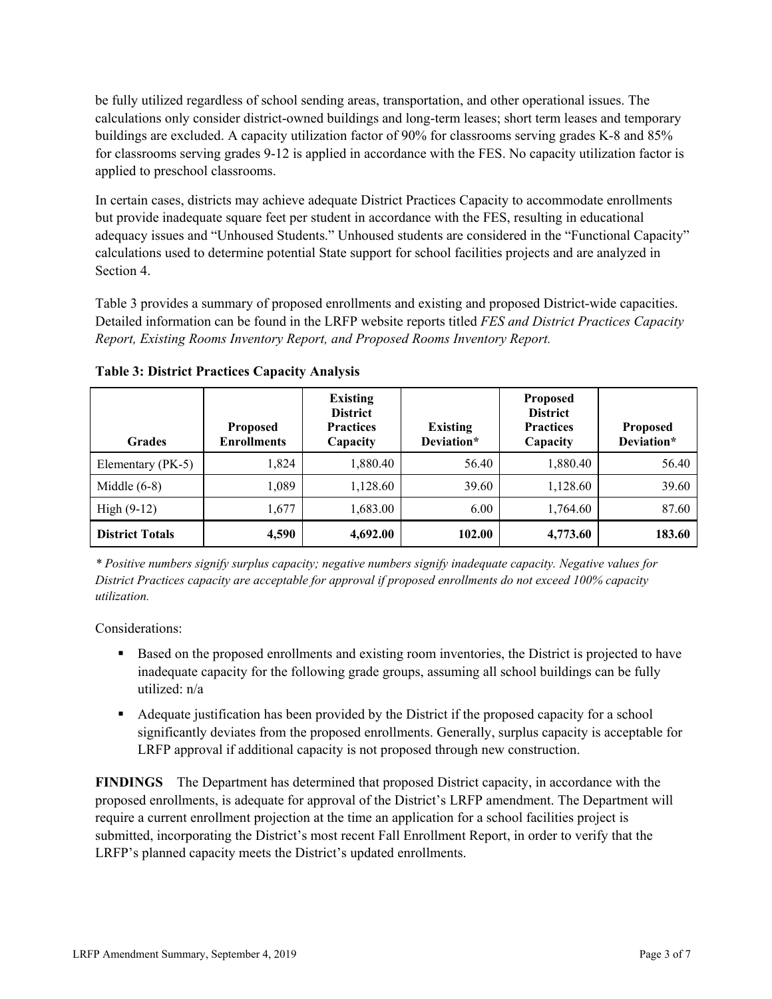be fully utilized regardless of school sending areas, transportation, and other operational issues. The calculations only consider district-owned buildings and long-term leases; short term leases and temporary buildings are excluded. A capacity utilization factor of 90% for classrooms serving grades K-8 and 85% for classrooms serving grades 9-12 is applied in accordance with the FES. No capacity utilization factor is applied to preschool classrooms.

In certain cases, districts may achieve adequate District Practices Capacity to accommodate enrollments but provide inadequate square feet per student in accordance with the FES, resulting in educational adequacy issues and "Unhoused Students." Unhoused students are considered in the "Functional Capacity" calculations used to determine potential State support for school facilities projects and are analyzed in Section 4.

Table 3 provides a summary of proposed enrollments and existing and proposed District-wide capacities. Detailed information can be found in the LRFP website reports titled *FES and District Practices Capacity Report, Existing Rooms Inventory Report, and Proposed Rooms Inventory Report.*

| <b>Grades</b>          | <b>Proposed</b><br><b>Enrollments</b> | <b>Existing</b><br><b>District</b><br><b>Practices</b><br>Capacity | <b>Existing</b><br>Deviation* | <b>Proposed</b><br><b>District</b><br><b>Practices</b><br>Capacity | <b>Proposed</b><br>Deviation* |
|------------------------|---------------------------------------|--------------------------------------------------------------------|-------------------------------|--------------------------------------------------------------------|-------------------------------|
| Elementary (PK-5)      | 1.824                                 | 1,880.40                                                           | 56.40                         | 1.880.40                                                           | 56.40                         |
| Middle $(6-8)$         | 1,089                                 | 1,128.60                                                           | 39.60                         | 1,128.60                                                           | 39.60                         |
| High $(9-12)$          | 1,677                                 | 1,683.00                                                           | 6.00                          | 1,764.60                                                           | 87.60                         |
| <b>District Totals</b> | 4,590                                 | 4,692.00                                                           | 102.00                        | 4,773.60                                                           | 183.60                        |

**Table 3: District Practices Capacity Analysis**

*\* Positive numbers signify surplus capacity; negative numbers signify inadequate capacity. Negative values for District Practices capacity are acceptable for approval if proposed enrollments do not exceed 100% capacity utilization.*

Considerations:

- Based on the proposed enrollments and existing room inventories, the District is projected to have inadequate capacity for the following grade groups, assuming all school buildings can be fully utilized: n/a
- Adequate justification has been provided by the District if the proposed capacity for a school significantly deviates from the proposed enrollments. Generally, surplus capacity is acceptable for LRFP approval if additional capacity is not proposed through new construction.

**FINDINGS**The Department has determined that proposed District capacity, in accordance with the proposed enrollments, is adequate for approval of the District's LRFP amendment. The Department will require a current enrollment projection at the time an application for a school facilities project is submitted, incorporating the District's most recent Fall Enrollment Report, in order to verify that the LRFP's planned capacity meets the District's updated enrollments.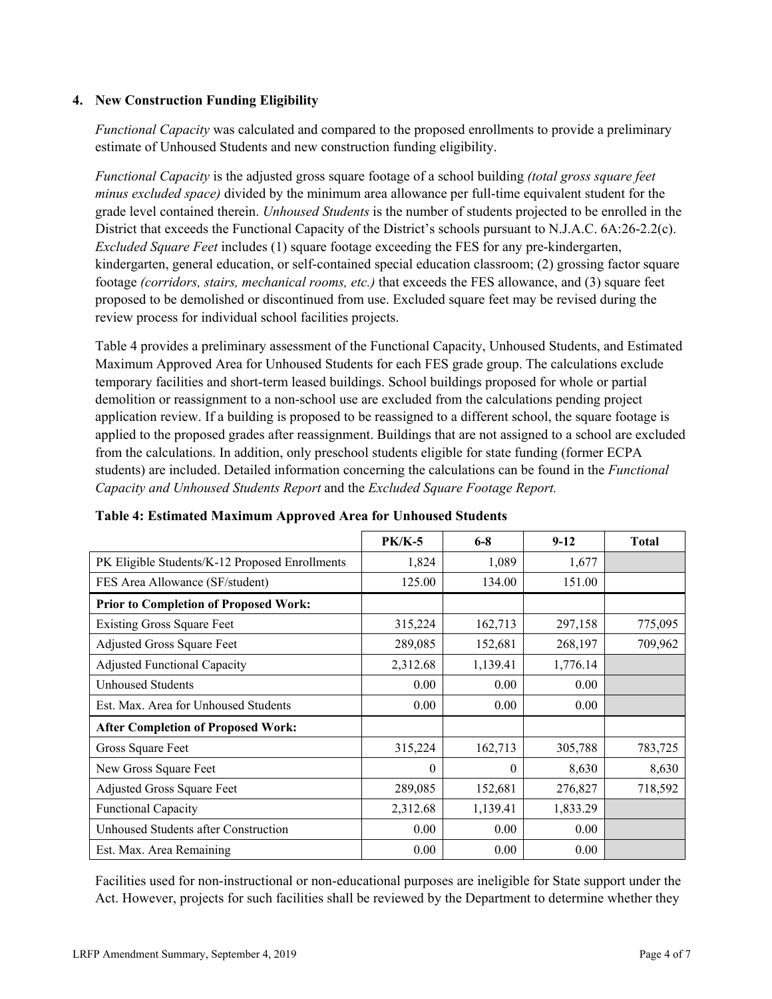### **4. New Construction Funding Eligibility**

*Functional Capacity* was calculated and compared to the proposed enrollments to provide a preliminary estimate of Unhoused Students and new construction funding eligibility.

*Functional Capacity* is the adjusted gross square footage of a school building *(total gross square feet minus excluded space)* divided by the minimum area allowance per full-time equivalent student for the grade level contained therein. *Unhoused Students* is the number of students projected to be enrolled in the District that exceeds the Functional Capacity of the District's schools pursuant to N.J.A.C. 6A:26-2.2(c). *Excluded Square Feet* includes (1) square footage exceeding the FES for any pre-kindergarten, kindergarten, general education, or self-contained special education classroom; (2) grossing factor square footage *(corridors, stairs, mechanical rooms, etc.)* that exceeds the FES allowance, and (3) square feet proposed to be demolished or discontinued from use. Excluded square feet may be revised during the review process for individual school facilities projects.

Table 4 provides a preliminary assessment of the Functional Capacity, Unhoused Students, and Estimated Maximum Approved Area for Unhoused Students for each FES grade group. The calculations exclude temporary facilities and short-term leased buildings. School buildings proposed for whole or partial demolition or reassignment to a non-school use are excluded from the calculations pending project application review. If a building is proposed to be reassigned to a different school, the square footage is applied to the proposed grades after reassignment. Buildings that are not assigned to a school are excluded from the calculations. In addition, only preschool students eligible for state funding (former ECPA students) are included. Detailed information concerning the calculations can be found in the *Functional Capacity and Unhoused Students Report* and the *Excluded Square Footage Report.*

|                                                | $PK/K-5$ | $6-8$    | $9-12$   | <b>Total</b> |
|------------------------------------------------|----------|----------|----------|--------------|
| PK Eligible Students/K-12 Proposed Enrollments | 1,824    | 1,089    | 1,677    |              |
| FES Area Allowance (SF/student)                | 125.00   | 134.00   | 151.00   |              |
| <b>Prior to Completion of Proposed Work:</b>   |          |          |          |              |
| <b>Existing Gross Square Feet</b>              | 315,224  | 162,713  | 297,158  | 775,095      |
| <b>Adjusted Gross Square Feet</b>              | 289,085  | 152,681  | 268,197  | 709,962      |
| <b>Adjusted Functional Capacity</b>            | 2,312.68 | 1,139.41 | 1,776.14 |              |
| Unhoused Students                              | 0.00     | 0.00     | 0.00     |              |
| Est. Max. Area for Unhoused Students           | 0.00     | 0.00     | 0.00     |              |
| <b>After Completion of Proposed Work:</b>      |          |          |          |              |
| Gross Square Feet                              | 315,224  | 162,713  | 305,788  | 783,725      |
| New Gross Square Feet                          | $\theta$ | $\theta$ | 8,630    | 8,630        |
| Adjusted Gross Square Feet                     | 289,085  | 152,681  | 276,827  | 718,592      |
| <b>Functional Capacity</b>                     | 2,312.68 | 1,139.41 | 1,833.29 |              |
| Unhoused Students after Construction           | 0.00     | 0.00     | 0.00     |              |
| Est. Max. Area Remaining                       | 0.00     | 0.00     | 0.00     |              |

**Table 4: Estimated Maximum Approved Area for Unhoused Students**

Facilities used for non-instructional or non-educational purposes are ineligible for State support under the Act. However, projects for such facilities shall be reviewed by the Department to determine whether they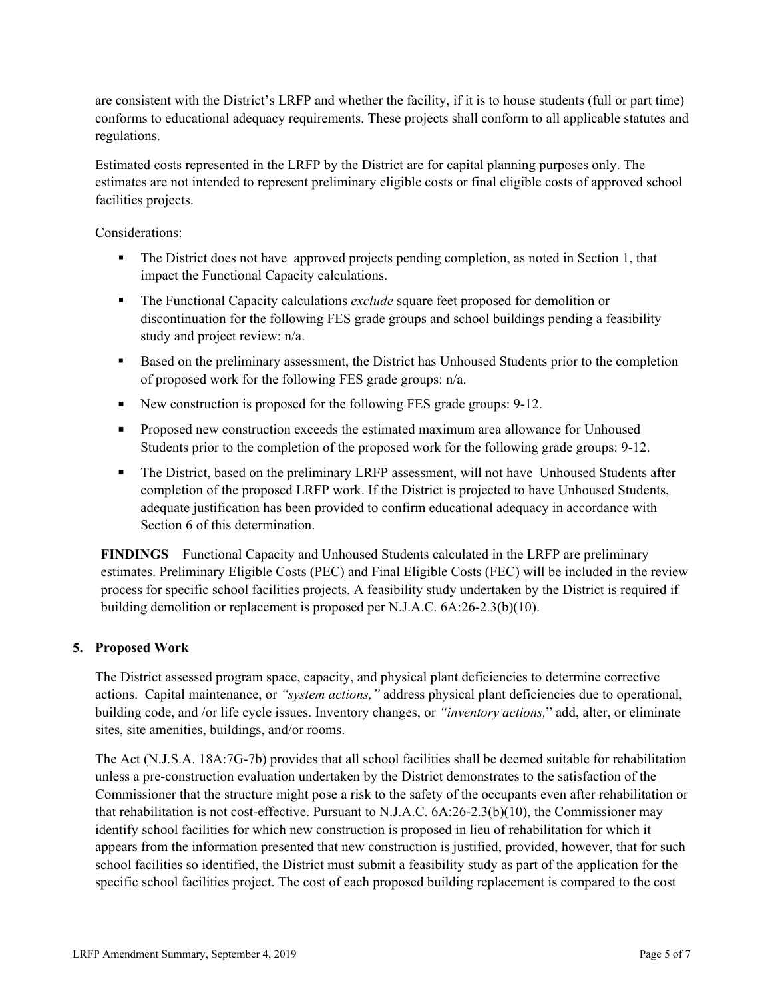are consistent with the District's LRFP and whether the facility, if it is to house students (full or part time) conforms to educational adequacy requirements. These projects shall conform to all applicable statutes and regulations.

Estimated costs represented in the LRFP by the District are for capital planning purposes only. The estimates are not intended to represent preliminary eligible costs or final eligible costs of approved school facilities projects.

Considerations:

- The District does not have approved projects pending completion, as noted in Section 1, that impact the Functional Capacity calculations.
- The Functional Capacity calculations *exclude* square feet proposed for demolition or discontinuation for the following FES grade groups and school buildings pending a feasibility study and project review: n/a.
- Based on the preliminary assessment, the District has Unhoused Students prior to the completion of proposed work for the following FES grade groups: n/a.
- New construction is proposed for the following FES grade groups: 9-12.
- **Proposed new construction exceeds the estimated maximum area allowance for Unhoused** Students prior to the completion of the proposed work for the following grade groups: 9-12.
- The District, based on the preliminary LRFP assessment, will not have Unhoused Students after completion of the proposed LRFP work. If the District is projected to have Unhoused Students, adequate justification has been provided to confirm educational adequacy in accordance with Section 6 of this determination.

**FINDINGS** Functional Capacity and Unhoused Students calculated in the LRFP are preliminary estimates. Preliminary Eligible Costs (PEC) and Final Eligible Costs (FEC) will be included in the review process for specific school facilities projects. A feasibility study undertaken by the District is required if building demolition or replacement is proposed per N.J.A.C. 6A:26-2.3(b)(10).

## **5. Proposed Work**

The District assessed program space, capacity, and physical plant deficiencies to determine corrective actions. Capital maintenance, or *"system actions,"* address physical plant deficiencies due to operational, building code, and /or life cycle issues. Inventory changes, or *"inventory actions,*" add, alter, or eliminate sites, site amenities, buildings, and/or rooms.

The Act (N.J.S.A. 18A:7G-7b) provides that all school facilities shall be deemed suitable for rehabilitation unless a pre-construction evaluation undertaken by the District demonstrates to the satisfaction of the Commissioner that the structure might pose a risk to the safety of the occupants even after rehabilitation or that rehabilitation is not cost-effective. Pursuant to N.J.A.C. 6A:26-2.3(b)(10), the Commissioner may identify school facilities for which new construction is proposed in lieu of rehabilitation for which it appears from the information presented that new construction is justified, provided, however, that for such school facilities so identified, the District must submit a feasibility study as part of the application for the specific school facilities project. The cost of each proposed building replacement is compared to the cost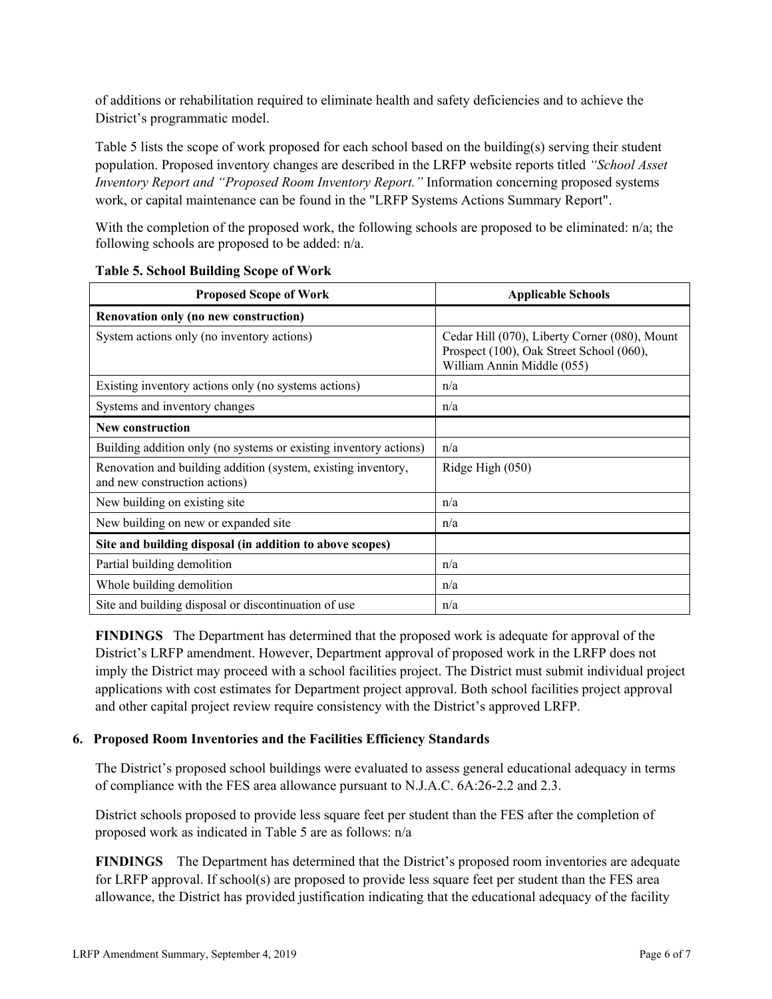of additions or rehabilitation required to eliminate health and safety deficiencies and to achieve the District's programmatic model.

Table 5 lists the scope of work proposed for each school based on the building(s) serving their student population. Proposed inventory changes are described in the LRFP website reports titled *"School Asset Inventory Report and "Proposed Room Inventory Report."* Information concerning proposed systems work, or capital maintenance can be found in the "LRFP Systems Actions Summary Report".

With the completion of the proposed work, the following schools are proposed to be eliminated: n/a; the following schools are proposed to be added: n/a.

| <b>Proposed Scope of Work</b>                                                                  | <b>Applicable Schools</b>                                                                                               |
|------------------------------------------------------------------------------------------------|-------------------------------------------------------------------------------------------------------------------------|
| Renovation only (no new construction)                                                          |                                                                                                                         |
| System actions only (no inventory actions)                                                     | Cedar Hill (070), Liberty Corner (080), Mount<br>Prospect (100), Oak Street School (060),<br>William Annin Middle (055) |
| Existing inventory actions only (no systems actions)                                           | n/a                                                                                                                     |
| Systems and inventory changes                                                                  | n/a                                                                                                                     |
| New construction                                                                               |                                                                                                                         |
| Building addition only (no systems or existing inventory actions)                              | n/a                                                                                                                     |
| Renovation and building addition (system, existing inventory,<br>and new construction actions) | Ridge High (050)                                                                                                        |
| New building on existing site                                                                  | n/a                                                                                                                     |
| New building on new or expanded site                                                           | n/a                                                                                                                     |
| Site and building disposal (in addition to above scopes)                                       |                                                                                                                         |
| Partial building demolition                                                                    | n/a                                                                                                                     |
| Whole building demolition                                                                      | n/a                                                                                                                     |
| Site and building disposal or discontinuation of use                                           | n/a                                                                                                                     |

#### **Table 5. School Building Scope of Work**

**FINDINGS** The Department has determined that the proposed work is adequate for approval of the District's LRFP amendment. However, Department approval of proposed work in the LRFP does not imply the District may proceed with a school facilities project. The District must submit individual project applications with cost estimates for Department project approval. Both school facilities project approval and other capital project review require consistency with the District's approved LRFP.

## **6. Proposed Room Inventories and the Facilities Efficiency Standards**

The District's proposed school buildings were evaluated to assess general educational adequacy in terms of compliance with the FES area allowance pursuant to N.J.A.C. 6A:26-2.2 and 2.3.

District schools proposed to provide less square feet per student than the FES after the completion of proposed work as indicated in Table 5 are as follows: n/a

**FINDINGS** The Department has determined that the District's proposed room inventories are adequate for LRFP approval. If school(s) are proposed to provide less square feet per student than the FES area allowance, the District has provided justification indicating that the educational adequacy of the facility